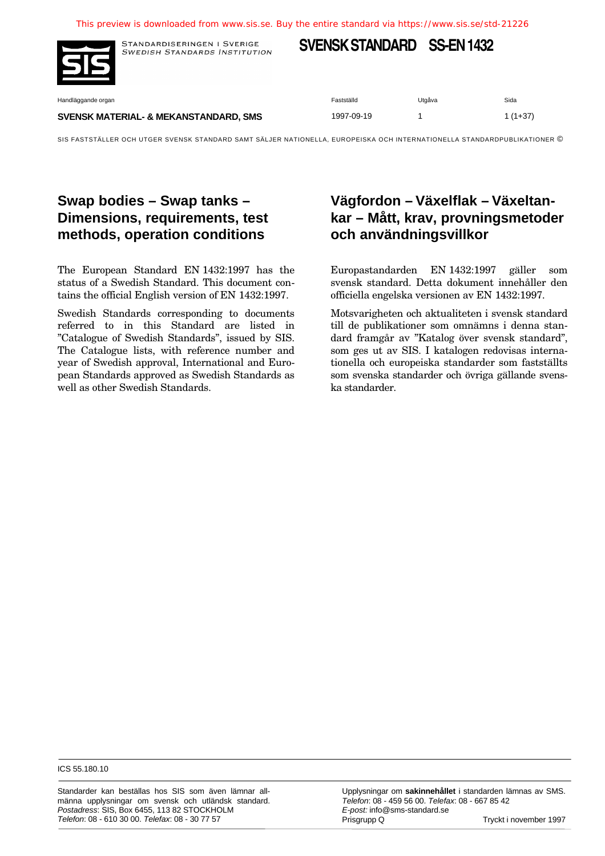

STANDARDISERINGEN I SVERIGE **SWEDISH STANDARDS INSTITUTION** 

Handläggande organ Fastställd Utgåva Sida

**SVENSK MATERIAL- & MEKANSTANDARD, SMS** 1997-09-19 1 1 (1+37)

**SVENSK STANDARD SS-EN 1432**

SIS FASTSTÄLLER OCH UTGER SVENSK STANDARD SAMT SÄLJER NATIONELLA, EUROPEISKA OCH INTERNATIONELLA STANDARDPUBLIKATIONER ©

# **Swap bodies – Swap tanks – Dimensions, requirements, test methods, operation conditions**

The European Standard EN 1432:1997 has the status of a Swedish Standard. This document contains the official English version of EN 1432:1997.

Swedish Standards corresponding to documents referred to in this Standard are listed in "Catalogue of Swedish Standards", issued by SIS. The Catalogue lists, with reference number and year of Swedish approval, International and European Standards approved as Swedish Standards as well as other Swedish Standards.

# **Vägfordon – Växelflak – Växeltankar – Mått, krav, provningsmetoder och användningsvillkor**

Europastandarden EN 1432:1997 gäller som svensk standard. Detta dokument innehåller den officiella engelska versionen av EN 1432:1997.

Motsvarigheten och aktualiteten i svensk standard till de publikationer som omnämns i denna standard framgår av "Katalog över svensk standard", som ges ut av SIS. I katalogen redovisas internationella och europeiska standarder som fastställts som svenska standarder och övriga gällande svenska standarder.

ICS 55.180.10

Standarder kan beställas hos SIS som även lämnar allmänna upplysningar om svensk och utländsk standard. Postadress: SIS, Box 6455, 113 82 STOCKHOLM Telefon: 08 - 610 30 00. Telefax: 08 - 30 77 57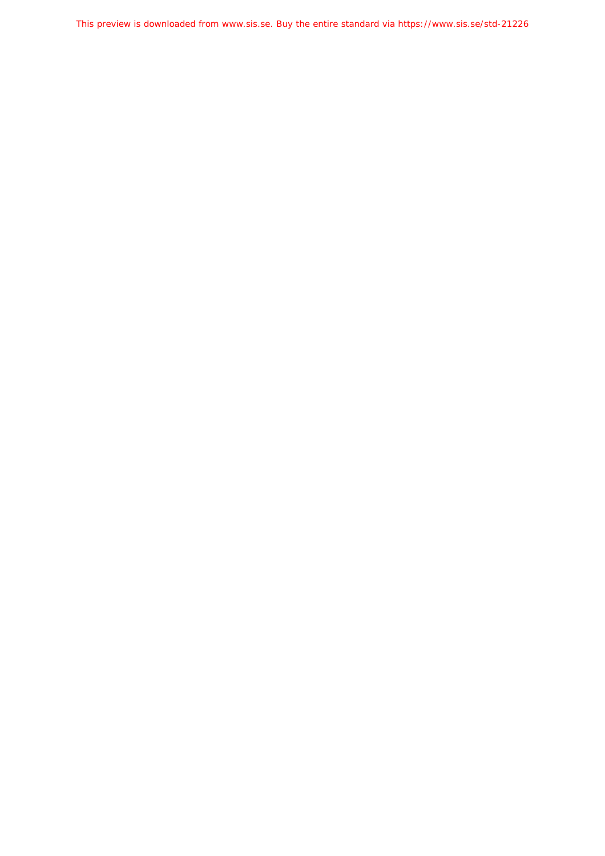This preview is downloaded from www.sis.se. Buy the entire standard via https://www.sis.se/std-21226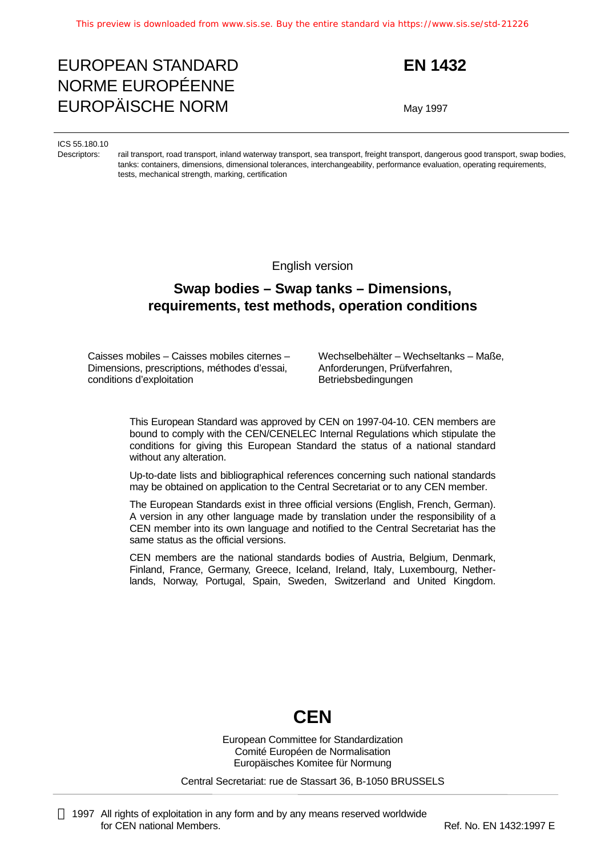# EUROPEAN STANDARD NORME EUROPÉENNE EUROPÄISCHE NORM

**EN 1432**

May 1997

ICS 55.180.10

Descriptors: rail transport, road transport, inland waterway transport, sea transport, freight transport, dangerous good transport, swap bodies, tanks: containers, dimensions, dimensional tolerances, interchangeability, performance evaluation, operating requirements, tests, mechanical strength, marking, certification

English version

# **Swap bodies – Swap tanks – Dimensions, requirements, test methods, operation conditions**

Caisses mobiles – Caisses mobiles citernes – Dimensions, prescriptions, méthodes d'essai, conditions d'exploitation

Wechselbehälter – Wechseltanks – Maße, Anforderungen, Prüfverfahren, Betriebsbedingungen

This European Standard was approved by CEN on 1997-04-10. CEN members are bound to comply with the CEN/CENELEC Internal Regulations which stipulate the conditions for giving this European Standard the status of a national standard without any alteration.

Up-to-date lists and bibliographical references concerning such national standards may be obtained on application to the Central Secretariat or to any CEN member.

The European Standards exist in three official versions (English, French, German). A version in any other language made by translation under the responsibility of a CEN member into its own language and notified to the Central Secretariat has the same status as the official versions.

CEN members are the national standards bodies of Austria, Belgium, Denmark, Finland, France, Germany, Greece, Iceland, Ireland, Italy, Luxembourg, Netherlands, Norway, Portugal, Spain, Sweden, Switzerland and United Kingdom.



European Committee for Standardization Comité Européen de Normalisation Europäisches Komitee für Normung

Central Secretariat: rue de Stassart 36, B-1050 BRUSSELS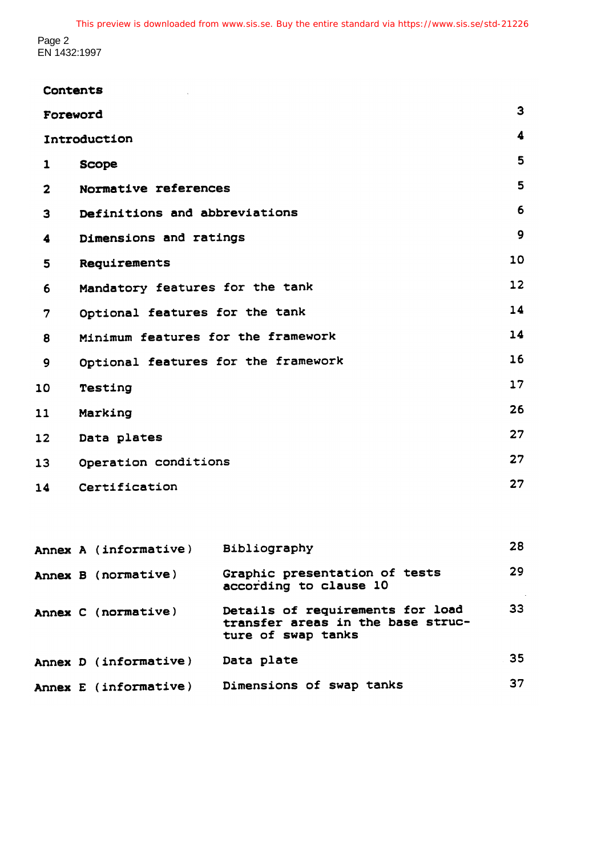Page 2 EN 1432:1997

|                | Contents                            |    |
|----------------|-------------------------------------|----|
| Foreword       |                                     |    |
| Introduction   |                                     |    |
| $\mathbf{1}$   | <b>Scope</b>                        | 5  |
| $\overline{2}$ | Normative references                | 5  |
| 3              | Definitions and abbreviations       | 6  |
| 4              | Dimensions and ratings              | 9  |
| 5              | Requirements                        | 10 |
| 6              | Mandatory features for the tank     | 12 |
| 7              | Optional features for the tank      | 14 |
| 8              | Minimum features for the framework  | 14 |
| 9              | Optional features for the framework | 16 |
| 10             | Testing                             | 17 |
| 11             | Marking                             | 26 |
| 12             | Data plates                         | 27 |
| 13             | Operation conditions                | 27 |
| 14             | Certification                       | 27 |

|  | Annex A (informative) | Bibliography                                                                                | 28 |
|--|-----------------------|---------------------------------------------------------------------------------------------|----|
|  | Annex B (normative)   | Graphic presentation of tests<br>according to clause 10                                     | 29 |
|  | Annex C (normative)   | Details of requirements for load<br>transfer areas in the base struc-<br>ture of swap tanks | 33 |
|  | Annex D (informative) | Data plate                                                                                  | 35 |
|  | Annex E (informative) | Dimensions of swap tanks                                                                    | 37 |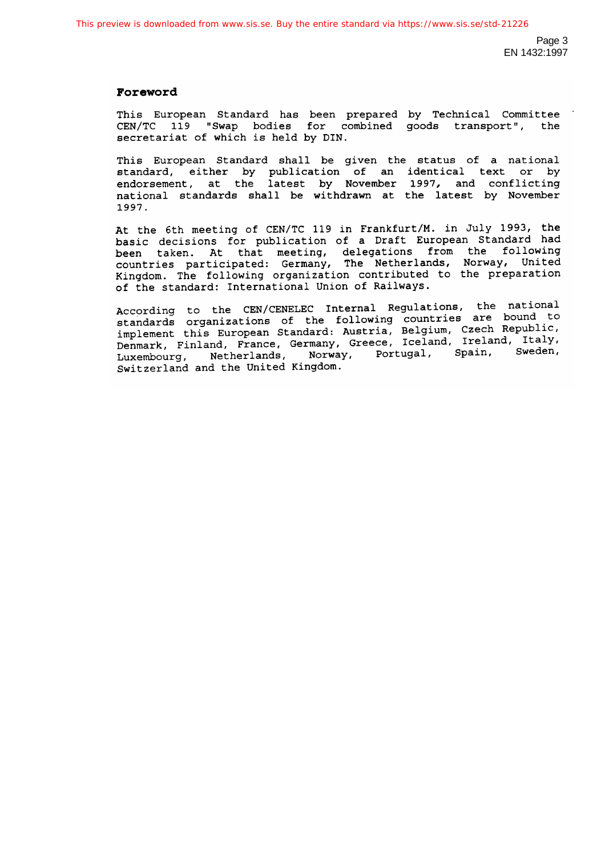### Foreword

This European Standard has been prepared by Technical Committee<br>CEN/TC 119 "Swap bodies for combined goods transport", the secretariat of which is held by DIN.

This European Standard shall be given the status of a national standard, either by publication of an identical text or by<br>endorsement, at the latest by November 1997, and conflicting national standards shall be withdrawn at the latest by November 1997.

At the 6th meeting of CEN/TC 119 in Frankfurt/M. in July 1993, the basic decisions for publication of a Draft European Standard had been taken. At that meeting, delegations from the following<br>countries participated: Germany, The Netherlands, Norway, United Kingdom. The following organization contributed to the preparation of the standard: International Union of Railways.

According to the CEN/CENELEC Internal Regulations, the national According to the CEN/CENELEC Internal Regulations, the hardcomar<br>standards organizations of the following countries are bound to<br>implement this European Standard: Austria, Belgium, Czech Republic,<br>Denmark, Finland, France, Luxembourg, Netherlands, Norway, Portugal, Spain, Sweden, Switzerland and the United Kingdom.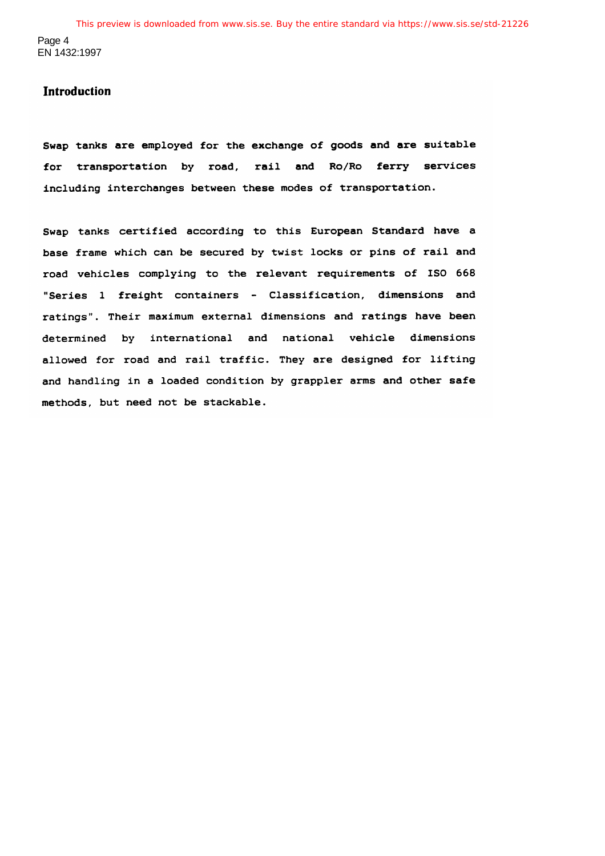### Introduction

Swap tanks are employed for the exchange of goods and are suitable for transportation by road, rail and Ro/Ro ferry services including interchanges between these modes of transportation.

Swap tanks certified according to this European Standard have a base frame which can be secured by twist locks or pins of rail and road vehicles complying to the relevant requirements of ISO 668 "Series 1 freight containers - Classification, dimensions and ratings". Their maximum external dimensions and ratings have been determined by international and national vehicle dimensions allowed for road and rail traffic. They are designed for lifting and handling in a loaded condition by grappler arms and other safe methods, but need not be stackable.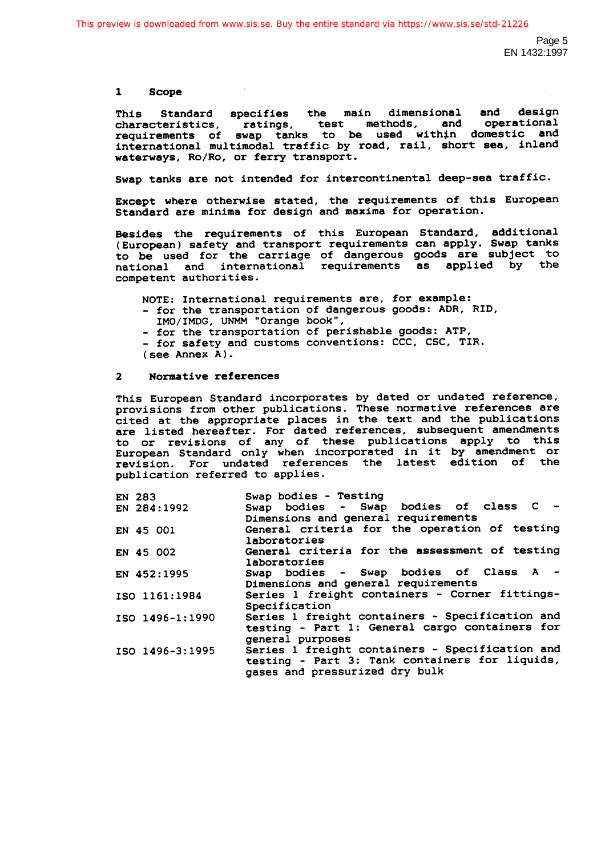#### $\mathbf{1}$ **Scope**

This Standard specifies the main dimensional and design<br>characteristics, ratings, test methods, and operational<br>requirements of swap tanks to be used within domestic and international multimodal traffic by road, rail, short sea, inland waterways, Ro/Ro, or ferry transport.

Swap tanks are not intended for intercontinental deep-sea traffic.

Except where otherwise stated, the requirements of this European Standard are minima for design and maxima for operation.

Besides the requirements of this European Standard, additional (European) safety and transport requirements can apply. Swap tanks to be used for the carriage of dangerous goods are subject to national and international requirements as applied by the competent authorities.

NOTE: International requirements are, for example:

- for the transportation of dangerous goods: ADR, RID, IMO/IMDG, UNMM "Orange book",

- for the transportation of perishable goods: ATP,

- for safety and customs conventions: CCC, CSC, TIR.

 $(see$  Annex  $A)$ .

#### Normative references  $\overline{2}$

This European Standard incorporates by dated or undated reference, provisions from other publications. These normative references are cited at the appropriate places in the text and the publications are listed hereafter. For dated references, subsequent amendments to or revisions of any of these publications apply to this European Standard only when incorporated in it by amendment or<br>revision. For undated references the latest edition of the publication referred to applies.

| EN 283<br>EN 284:1992 | Swap bodies - Testing<br>Swap bodies - Swap bodies of class C -                                                                     |
|-----------------------|-------------------------------------------------------------------------------------------------------------------------------------|
| EN 45 001             | Dimensions and general requirements<br>General criteria for the operation of testing<br>laboratories                                |
| EN 45 002             | General criteria for the assessment of testing<br>laboratories                                                                      |
| EN 452:1995           | Swap bodies - Swap bodies of Class A -<br>Dimensions and general requirements                                                       |
| ISO 1161:1984         | Series 1 freight containers - Corner fittings-<br>Specification                                                                     |
| ISO 1496-1:1990       | Series 1 freight containers - Specification and<br>testing - Part 1: General cargo containers for<br>general purposes               |
| ISO 1496-3:1995       | Series 1 freight containers - Specification and<br>testing - Part 3: Tank containers for liquids,<br>gases and pressurized dry bulk |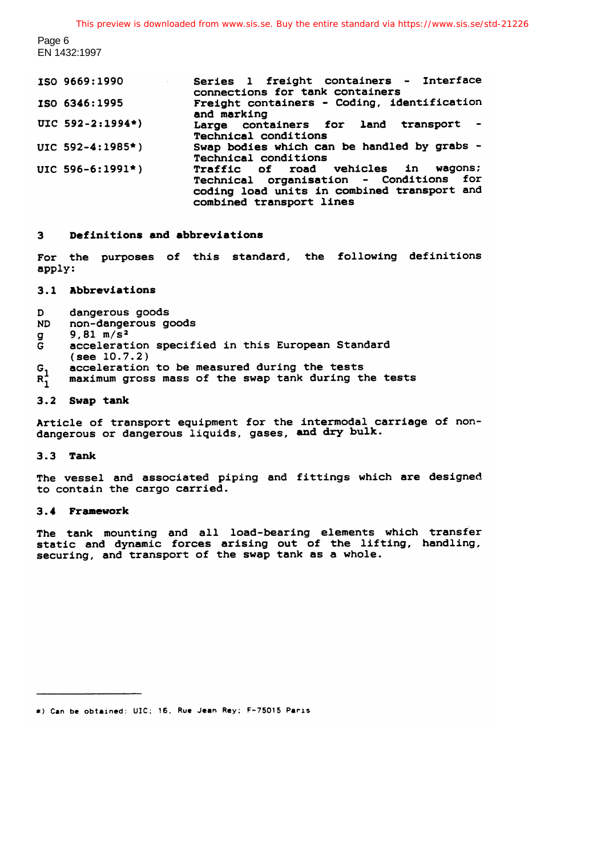This preview is downloaded from www.sis.se. Buy the entire standard via https://www.sis.se/std-21226 Page 6 FN 1432.1997

ISO 9669:1990 Series 1 freight containers - Interface  $\sim 10^6$ connections for tank containers ISO 6346:1995 Freight containers - Coding, identification and marking UIC  $592 - 2:1994$ \*) Large containers for land transport Technical conditions Swap bodies which can be handled by grabs -UIC  $592-4:1985*$ ) Technical conditions UIC 596-6:1991\*) Traffic of road vehicles in wagons; Technical organisation - Conditions for coding load units in combined transport and combined transport lines

#### Definitions and abbreviations 3

For the purposes of this standard, the following definitions apply:

#### 3.1 Abbreviations

dangerous goods D

- **ND** non-dangerous goods
- $9,81 \text{ m/s}^2$ q
- acceleration specified in this European Standard G  $(see 10.7.2)$
- acceleration to be measured during the tests
- $S<sub>1</sub>$ <sub>R</sub><sup>1</sup> maximum gross mass of the swap tank during the tests

#### $3.2$ Swap tank

Article of transport equipment for the intermodal carriage of nondangerous or dangerous liquids, gases, and dry bulk.

#### 3.3 Tank

The vessel and associated piping and fittings which are designed to contain the cargo carried.

#### 3.4 Framework

The tank mounting and all load-bearing elements which transfer<br>static and dynamic forces arising out of the lifting, handling, securing, and transport of the swap tank as a whole.

<sup>\*)</sup> Can be obtained: UIC; 16, Rue Jean Rey; F-75015 Paris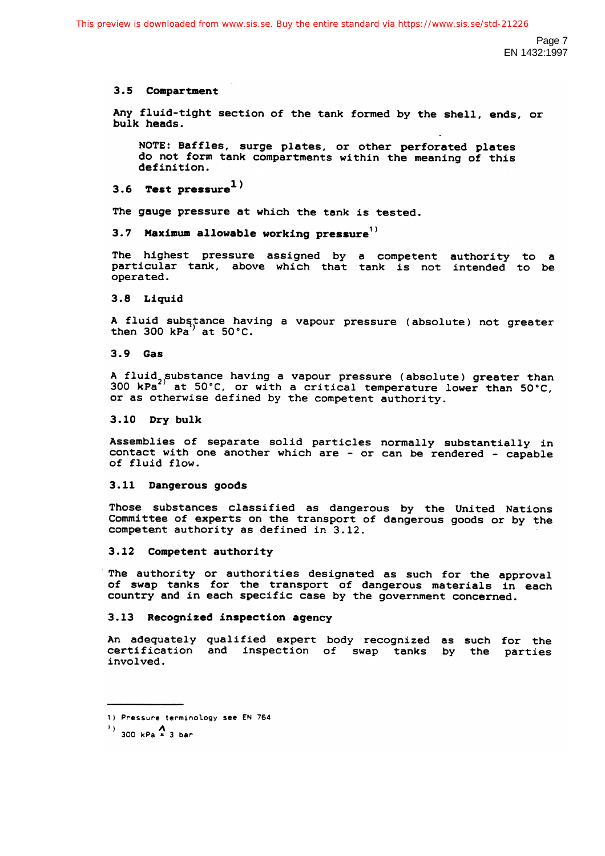### 3.5 Compartment

Any fluid-tight section of the tank formed by the shell, ends, or bulk heads.

NOTE: Baffles, surge plates, or other perforated plates do not form tank compartments within the meaning of this definition.

## 3.6 Test pressure<sup>1)</sup>

The gauge pressure at which the tank is tested.

### 3.7 Maximum allowable working pressure<sup>1)</sup>

The highest pressure assigned by a competent authority to a<br>particular tank, above which that tank is not intended to be operated.

#### 3.8 Liquid

A fluid substance having a vapour pressure (absolute) not greater then 300 kPa<sup> $'$ </sup> at 50 °C.

#### $3.9$  Gas

A fluid substance having a vapour pressure (absolute) greater than A fluid substance having a vapour process (essentially in 50°C, or as otherwise defined by the competent authority.

#### 3.10 Dry bulk

Assemblies of separate solid particles normally substantially in contact with one another which are - or can be rendered - capable of fluid flow.

### 3.11 Dangerous goods

Those substances classified as dangerous by the United Nations Committee of experts on the transport of dangerous goods or by the competent authority as defined in 3.12.

#### 3.12 Competent authority

The authority or authorities designated as such for the approval of swap tanks for the transport of dangerous materials in each country and in each specific case by the government concerned.

#### 3.13 Recognized inspection agency

An adequately qualified expert body recognized as such for the<br>certification and inspection of swap tanks by the parties involved.

<sup>1)</sup> Pressure terminology see EN 764

 $\frac{1}{2}$  300 kPa  $\frac{1}{2}$  3 bar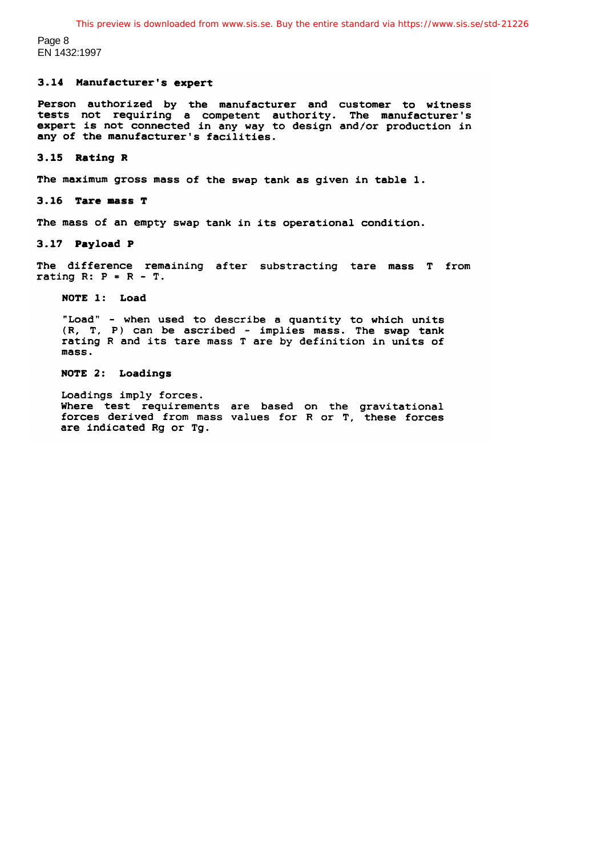This preview is downloaded from www.sis.se. Buy the entire standard via https://www.sis.se/std-21226

Page 8 FN 1432.1997

#### 3.14 Manufacturer's expert

Person authorized by the manufacturer and customer to witness tests not requiring a competent authority. The manufacturer's expert is not connected in any way to design and/or production in any of the manufacturer's facilities.

#### 3.15 Rating R

The maximum gross mass of the swap tank as given in table 1.

3.16 Tare mass T

The mass of an empty swap tank in its operational condition.

3.17 Payload P

The difference remaining after substracting tare mass T from rating  $R: P = R - T$ .

NOTE 1: Load

"Load" - when used to describe a quantity to which units  $(R, T, P)$  can be ascribed - implies mass. The swap tank rating R and its tare mass T are by definition in units of mass.

NOTE 2: Loadings

Loadings imply forces. Where test requirements are based on the gravitational<br>forces derived from mass values for R or T, these forces are indicated Rg or Tg.